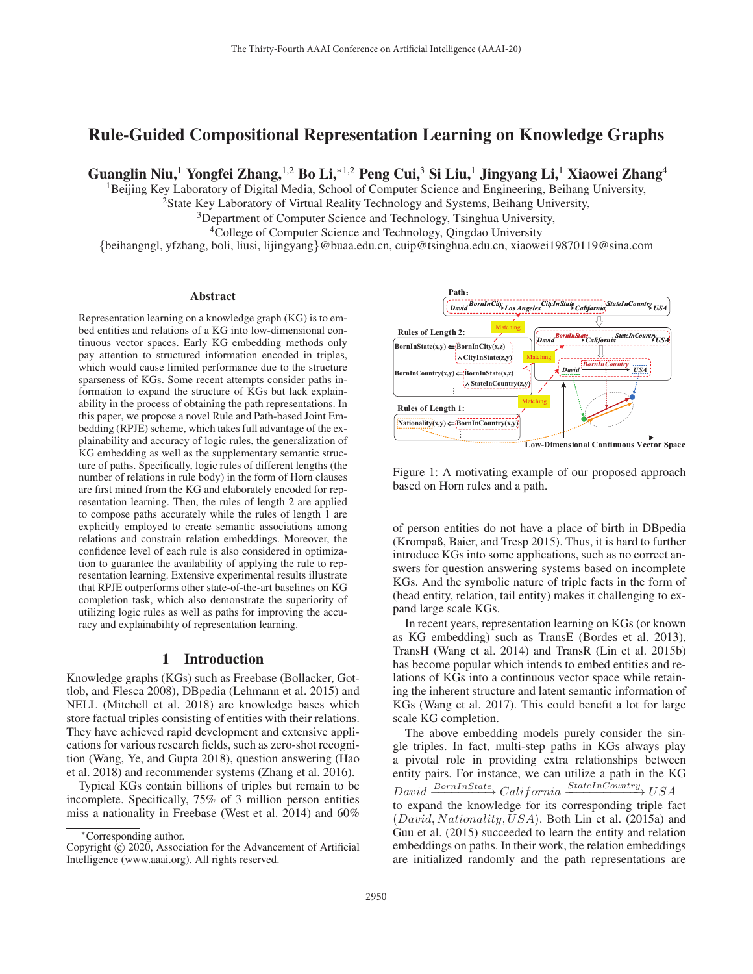# Rule-Guided Compositional Representation Learning on Knowledge Graphs

Guanglin Niu,<sup>1</sup> Yongfei Zhang,<sup>1,2</sup> Bo Li,<sup>\*1,2</sup> Peng Cui,<sup>3</sup> Si Liu,<sup>1</sup> Jingyang Li,<sup>1</sup> Xiaowei Zhang<sup>4</sup>

<sup>1</sup>Beijing Key Laboratory of Digital Media, School of Computer Science and Engineering, Beihang University,

<sup>2</sup>State Key Laboratory of Virtual Reality Technology and Systems, Beihang University,

<sup>3</sup>Department of Computer Science and Technology, Tsinghua University,

<sup>4</sup>College of Computer Science and Technology, Qingdao University

{beihangngl, yfzhang, boli, liusi, lijingyang}@buaa.edu.cn, cuip@tsinghua.edu.cn, xiaowei19870119@sina.com

#### Abstract

Representation learning on a knowledge graph (KG) is to embed entities and relations of a KG into low-dimensional continuous vector spaces. Early KG embedding methods only pay attention to structured information encoded in triples, which would cause limited performance due to the structure sparseness of KGs. Some recent attempts consider paths information to expand the structure of KGs but lack explainability in the process of obtaining the path representations. In this paper, we propose a novel Rule and Path-based Joint Embedding (RPJE) scheme, which takes full advantage of the explainability and accuracy of logic rules, the generalization of KG embedding as well as the supplementary semantic structure of paths. Specifically, logic rules of different lengths (the number of relations in rule body) in the form of Horn clauses are first mined from the KG and elaborately encoded for representation learning. Then, the rules of length 2 are applied to compose paths accurately while the rules of length 1 are explicitly employed to create semantic associations among relations and constrain relation embeddings. Moreover, the confidence level of each rule is also considered in optimization to guarantee the availability of applying the rule to representation learning. Extensive experimental results illustrate that RPJE outperforms other state-of-the-art baselines on KG completion task, which also demonstrate the superiority of utilizing logic rules as well as paths for improving the accuracy and explainability of representation learning.

### 1 Introduction

Knowledge graphs (KGs) such as Freebase (Bollacker, Gottlob, and Flesca 2008), DBpedia (Lehmann et al. 2015) and NELL (Mitchell et al. 2018) are knowledge bases which store factual triples consisting of entities with their relations. They have achieved rapid development and extensive applications for various research fields, such as zero-shot recognition (Wang, Ye, and Gupta 2018), question answering (Hao et al. 2018) and recommender systems (Zhang et al. 2016).

Typical KGs contain billions of triples but remain to be incomplete. Specifically, 75% of 3 million person entities miss a nationality in Freebase (West et al. 2014) and 60%



Figure 1: A motivating example of our proposed approach based on Horn rules and a path.

of person entities do not have a place of birth in DBpedia (Krompaß, Baier, and Tresp 2015). Thus, it is hard to further introduce KGs into some applications, such as no correct answers for question answering systems based on incomplete KGs. And the symbolic nature of triple facts in the form of (head entity, relation, tail entity) makes it challenging to expand large scale KGs.

In recent years, representation learning on KGs (or known as KG embedding) such as TransE (Bordes et al. 2013), TransH (Wang et al. 2014) and TransR (Lin et al. 2015b) has become popular which intends to embed entities and relations of KGs into a continuous vector space while retaining the inherent structure and latent semantic information of KGs (Wang et al. 2017). This could benefit a lot for large scale KG completion.

The above embedding models purely consider the single triples. In fact, multi-step paths in KGs always play a pivotal role in providing extra relationships between entity pairs. For instance, we can utilize a path in the KG  $David \xrightarrow{BornInState} California \xrightarrow{StateInCountry} USA$ to expand the knowledge for its corresponding triple fact  $(David, Nationality, USA)$ . Both Lin et al. (2015a) and Guu et al. (2015) succeeded to learn the entity and relation embeddings on paths. In their work, the relation embeddings are initialized randomly and the path representations are

<sup>∗</sup>Corresponding author.

Copyright  $\odot$  2020, Association for the Advancement of Artificial Intelligence (www.aaai.org). All rights reserved.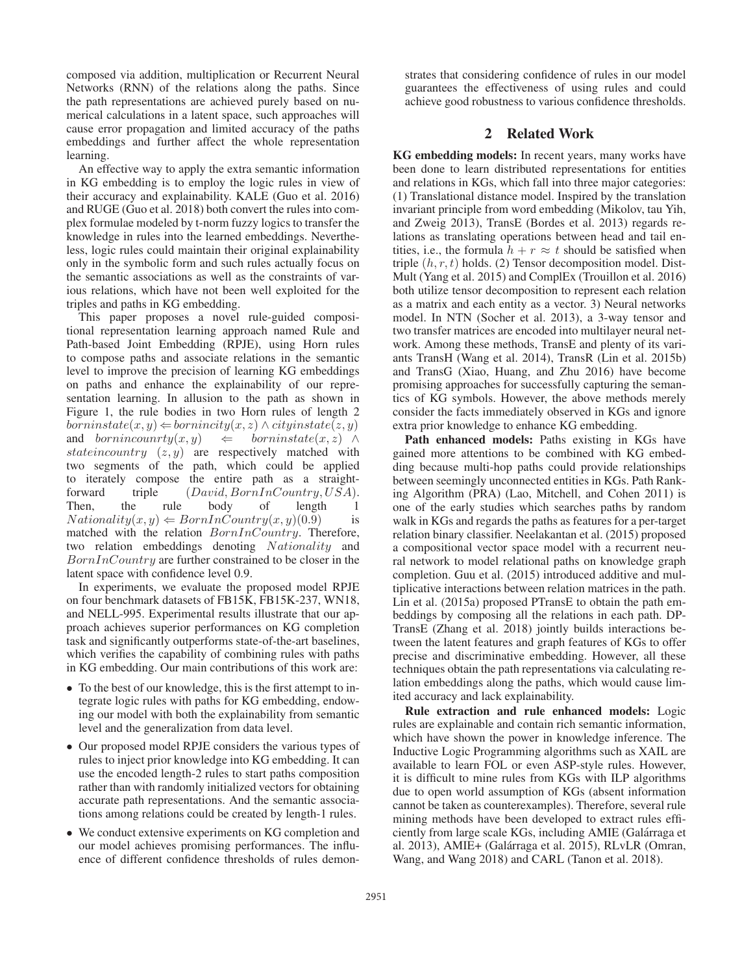composed via addition, multiplication or Recurrent Neural Networks (RNN) of the relations along the paths. Since the path representations are achieved purely based on numerical calculations in a latent space, such approaches will cause error propagation and limited accuracy of the paths embeddings and further affect the whole representation learning.

An effective way to apply the extra semantic information in KG embedding is to employ the logic rules in view of their accuracy and explainability. KALE (Guo et al. 2016) and RUGE (Guo et al. 2018) both convert the rules into complex formulae modeled by t-norm fuzzy logics to transfer the knowledge in rules into the learned embeddings. Nevertheless, logic rules could maintain their original explainability only in the symbolic form and such rules actually focus on the semantic associations as well as the constraints of various relations, which have not been well exploited for the triples and paths in KG embedding.

This paper proposes a novel rule-guided compositional representation learning approach named Rule and Path-based Joint Embedding (RPJE), using Horn rules to compose paths and associate relations in the semantic level to improve the precision of learning KG embeddings on paths and enhance the explainability of our representation learning. In allusion to the path as shown in Figure 1, the rule bodies in two Horn rules of length 2  $borninstate(x, y) \leftarrow bornincity(x, z) \wedge cityinstate(z, y)$ and bornincounrty $(x, y) \Leftrightarrow$  borninstate $(x, z) \wedge$ stateincountry  $(z, y)$  are respectively matched with two segments of the path, which could be applied to iterately compose the entire path as a straightforward triple  $(David, BornInCountry, USA)$ . Then, the rule body of length 1  $Nationality(x, y) \leftarrow BornInCountry(x, y)(0.9)$  is matched with the relation BornInCountry. Therefore, two relation embeddings denoting Nationality and  $BornInCountry$  are further constrained to be closer in the latent space with confidence level 0.9.

In experiments, we evaluate the proposed model RPJE on four benchmark datasets of FB15K, FB15K-237, WN18, and NELL-995. Experimental results illustrate that our approach achieves superior performances on KG completion task and significantly outperforms state-of-the-art baselines, which verifies the capability of combining rules with paths in KG embedding. Our main contributions of this work are:

- To the best of our knowledge, this is the first attempt to integrate logic rules with paths for KG embedding, endowing our model with both the explainability from semantic level and the generalization from data level.
- Our proposed model RPJE considers the various types of rules to inject prior knowledge into KG embedding. It can use the encoded length-2 rules to start paths composition rather than with randomly initialized vectors for obtaining accurate path representations. And the semantic associations among relations could be created by length-1 rules.
- We conduct extensive experiments on KG completion and our model achieves promising performances. The influence of different confidence thresholds of rules demon-

strates that considering confidence of rules in our model guarantees the effectiveness of using rules and could achieve good robustness to various confidence thresholds.

### 2 Related Work

KG embedding models: In recent years, many works have been done to learn distributed representations for entities and relations in KGs, which fall into three major categories: (1) Translational distance model. Inspired by the translation invariant principle from word embedding (Mikolov, tau Yih, and Zweig 2013), TransE (Bordes et al. 2013) regards relations as translating operations between head and tail entities, i.e., the formula  $h + r \approx t$  should be satisfied when triple  $(h, r, t)$  holds. (2) Tensor decomposition model. Dist-Mult (Yang et al. 2015) and ComplEx (Trouillon et al. 2016) both utilize tensor decomposition to represent each relation as a matrix and each entity as a vector. 3) Neural networks model. In NTN (Socher et al. 2013), a 3-way tensor and two transfer matrices are encoded into multilayer neural network. Among these methods, TransE and plenty of its variants TransH (Wang et al. 2014), TransR (Lin et al. 2015b) and TransG (Xiao, Huang, and Zhu 2016) have become promising approaches for successfully capturing the semantics of KG symbols. However, the above methods merely consider the facts immediately observed in KGs and ignore extra prior knowledge to enhance KG embedding.

Path enhanced models: Paths existing in KGs have gained more attentions to be combined with KG embedding because multi-hop paths could provide relationships between seemingly unconnected entities in KGs. Path Ranking Algorithm (PRA) (Lao, Mitchell, and Cohen 2011) is one of the early studies which searches paths by random walk in KGs and regards the paths as features for a per-target relation binary classifier. Neelakantan et al. (2015) proposed a compositional vector space model with a recurrent neural network to model relational paths on knowledge graph completion. Guu et al. (2015) introduced additive and multiplicative interactions between relation matrices in the path. Lin et al. (2015a) proposed PTransE to obtain the path embeddings by composing all the relations in each path. DP-TransE (Zhang et al. 2018) jointly builds interactions between the latent features and graph features of KGs to offer precise and discriminative embedding. However, all these techniques obtain the path representations via calculating relation embeddings along the paths, which would cause limited accuracy and lack explainability.

Rule extraction and rule enhanced models: Logic rules are explainable and contain rich semantic information, which have shown the power in knowledge inference. The Inductive Logic Programming algorithms such as XAIL are available to learn FOL or even ASP-style rules. However, it is difficult to mine rules from KGs with ILP algorithms due to open world assumption of KGs (absent information cannot be taken as counterexamples). Therefore, several rule mining methods have been developed to extract rules efficiently from large scale KGs, including AMIE (Galárraga et al. 2013), AMIE+ (Galarraga et al. 2015), RLvLR (Omran, ´ Wang, and Wang 2018) and CARL (Tanon et al. 2018).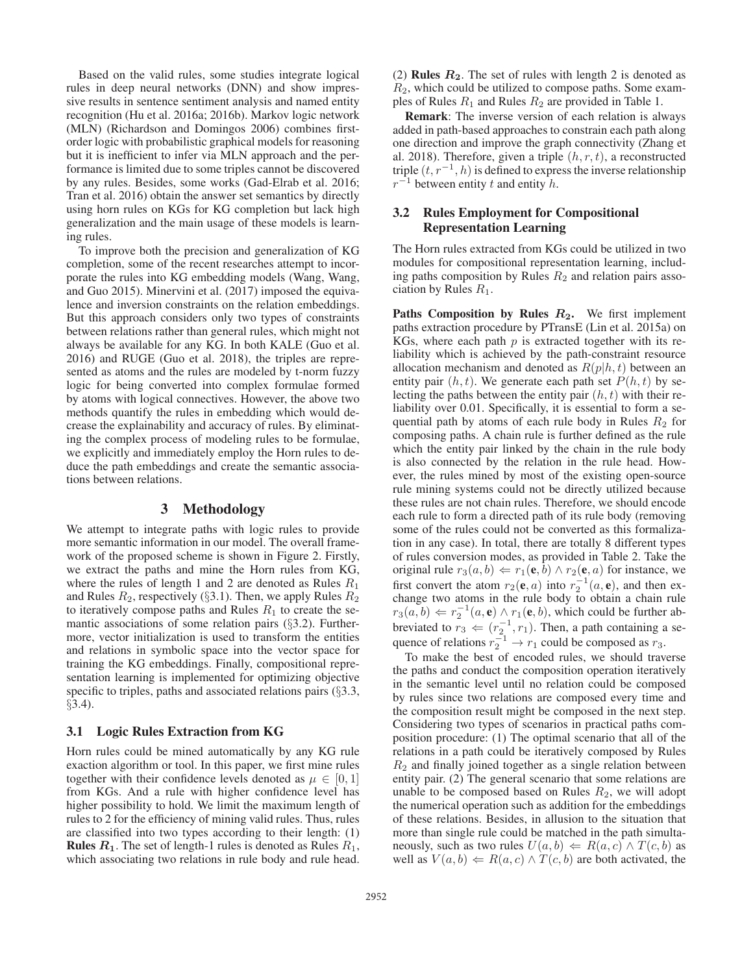Based on the valid rules, some studies integrate logical rules in deep neural networks (DNN) and show impressive results in sentence sentiment analysis and named entity recognition (Hu et al. 2016a; 2016b). Markov logic network (MLN) (Richardson and Domingos 2006) combines firstorder logic with probabilistic graphical models for reasoning but it is inefficient to infer via MLN approach and the performance is limited due to some triples cannot be discovered by any rules. Besides, some works (Gad-Elrab et al. 2016; Tran et al. 2016) obtain the answer set semantics by directly using horn rules on KGs for KG completion but lack high generalization and the main usage of these models is learning rules.

To improve both the precision and generalization of KG completion, some of the recent researches attempt to incorporate the rules into KG embedding models (Wang, Wang, and Guo 2015). Minervini et al. (2017) imposed the equivalence and inversion constraints on the relation embeddings. But this approach considers only two types of constraints between relations rather than general rules, which might not always be available for any KG. In both KALE (Guo et al. 2016) and RUGE (Guo et al. 2018), the triples are represented as atoms and the rules are modeled by t-norm fuzzy logic for being converted into complex formulae formed by atoms with logical connectives. However, the above two methods quantify the rules in embedding which would decrease the explainability and accuracy of rules. By eliminating the complex process of modeling rules to be formulae, we explicitly and immediately employ the Horn rules to deduce the path embeddings and create the semantic associations between relations.

# 3 Methodology

We attempt to integrate paths with logic rules to provide more semantic information in our model. The overall framework of the proposed scheme is shown in Figure 2. Firstly, we extract the paths and mine the Horn rules from KG, where the rules of length 1 and 2 are denoted as Rules  $R_1$ and Rules  $R_2$ , respectively (§3.1). Then, we apply Rules  $R_2$ to iteratively compose paths and Rules  $R_1$  to create the semantic associations of some relation pairs (§3.2). Furthermore, vector initialization is used to transform the entities and relations in symbolic space into the vector space for training the KG embeddings. Finally, compositional representation learning is implemented for optimizing objective specific to triples, paths and associated relations pairs (§3.3, §3.4).

### 3.1 Logic Rules Extraction from KG

Horn rules could be mined automatically by any KG rule exaction algorithm or tool. In this paper, we first mine rules together with their confidence levels denoted as  $\mu \in [0, 1]$ from KGs. And a rule with higher confidence level has higher possibility to hold. We limit the maximum length of rules to 2 for the efficiency of mining valid rules. Thus, rules are classified into two types according to their length: (1) **Rules**  $R_1$ **. The set of length-1 rules is denoted as Rules**  $R_1$ **,** which associating two relations in rule body and rule head.

(2) **Rules**  $R_2$ . The set of rules with length 2 is denoted as  $R_2$ , which could be utilized to compose paths. Some examples of Rules  $R_1$  and Rules  $R_2$  are provided in Table 1.

Remark: The inverse version of each relation is always added in path-based approaches to constrain each path along one direction and improve the graph connectivity (Zhang et al. 2018). Therefore, given a triple  $(h, r, t)$ , a reconstructed triple  $(t, r^{-1}, h)$  is defined to express the inverse relationship  $r^{-1}$  between entity t and entity h.

# 3.2 Rules Employment for Compositional Representation Learning

The Horn rules extracted from KGs could be utilized in two modules for compositional representation learning, including paths composition by Rules  $R_2$  and relation pairs association by Rules  $R_1$ .

Paths Composition by Rules  $R_2$ . We first implement paths extraction procedure by PTransE (Lin et al. 2015a) on KGs, where each path  $p$  is extracted together with its reliability which is achieved by the path-constraint resource allocation mechanism and denoted as  $R(p|h, t)$  between an entity pair  $(h, t)$ . We generate each path set  $P(h, t)$  by selecting the paths between the entity pair  $(h, t)$  with their reliability over 0.01. Specifically, it is essential to form a sequential path by atoms of each rule body in Rules  $R_2$  for composing paths. A chain rule is further defined as the rule which the entity pair linked by the chain in the rule body is also connected by the relation in the rule head. However, the rules mined by most of the existing open-source rule mining systems could not be directly utilized because these rules are not chain rules. Therefore, we should encode each rule to form a directed path of its rule body (removing some of the rules could not be converted as this formalization in any case). In total, there are totally 8 different types of rules conversion modes, as provided in Table 2. Take the original rule  $r_3(a, b) \Leftarrow r_1(e, b) \wedge r_2(e, a)$  for instance, we first convert the atom  $r_2(e, a)$  into  $r_2^{-1}(a, e)$ , and then exchange two atoms in the rule body to obtain a chain rule  $r_3(a, b) \Leftarrow r_2^{-1}(a, e) \wedge r_1(e, b)$ , which could be further abbreviated to  $r_3 \leftarrow (r_2^{-1}, r_1)$ . Then, a path containing a sequence of relations  $r_2^{-1} \rightarrow r_1$  could be composed as  $r_3$ .

To make the best of encoded rules, we should traverse the paths and conduct the composition operation iteratively in the semantic level until no relation could be composed by rules since two relations are composed every time and the composition result might be composed in the next step. Considering two types of scenarios in practical paths composition procedure: (1) The optimal scenario that all of the relations in a path could be iteratively composed by Rules  $R_2$  and finally joined together as a single relation between entity pair. (2) The general scenario that some relations are unable to be composed based on Rules  $R_2$ , we will adopt the numerical operation such as addition for the embeddings of these relations. Besides, in allusion to the situation that more than single rule could be matched in the path simultaneously, such as two rules  $U(a, b) \leftarrow R(a, c) \wedge T(c, b)$  as well as  $V(a, b) \leftarrow R(a, c) \wedge T(c, b)$  are both activated, the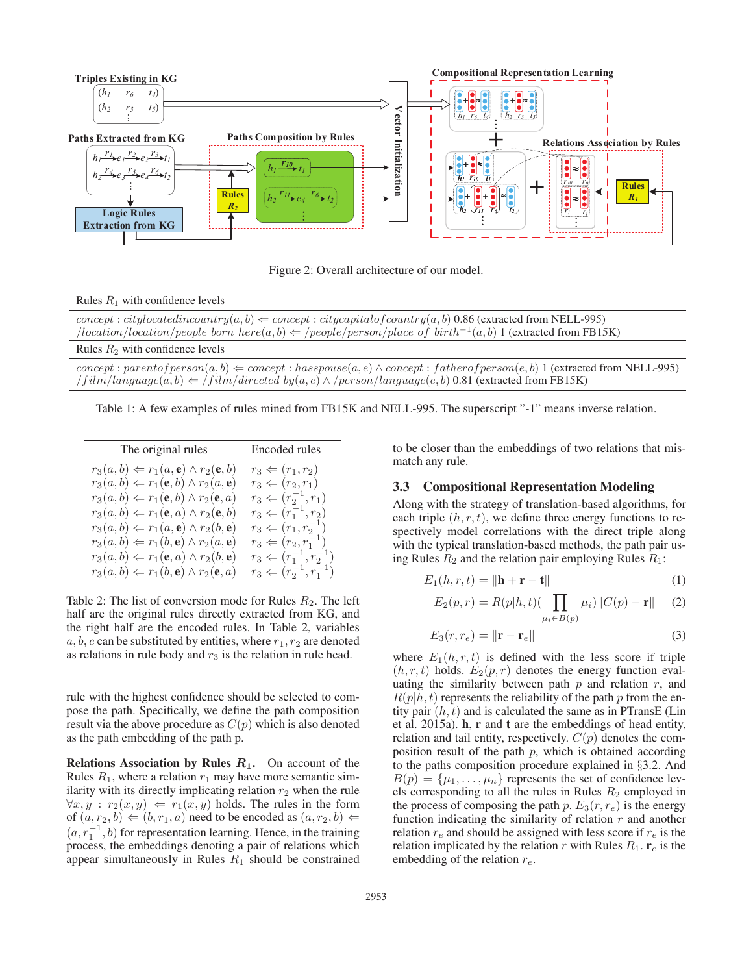

Figure 2: Overall architecture of our model.

| Rules $R_1$ with confidence levels                                                                                                                                                                                                                              |
|-----------------------------------------------------------------------------------------------------------------------------------------------------------------------------------------------------------------------------------------------------------------|
| $concept: city located in country(a, b) \Leftarrow concept: city capital of country(a, b) 0.86 (extracted from NELL-995)$<br>$/location/location/people\_born\_here(a, b) \Leftarrow /people/person/place\_of\_birth^{-1}(a, b)$ 1 (extracted from FB15K)       |
| Rules $R_2$ with confidence levels                                                                                                                                                                                                                              |
| $concept: parent of person(a, b) \Leftarrow concept: has pouse(a, e) \wedge concept: father of person(e, b) 1 (extracted from NELL-995)$<br>$\#film/language(a, b) \Leftarrow /film/directed_by(a, e) \land /person/language(e, b) 0.81$ (extracted from FB15K) |

Table 1: A few examples of rules mined from FB15K and NELL-995. The superscript "-1" means inverse relation.

| The original rules                                                | Encoded rules                         |
|-------------------------------------------------------------------|---------------------------------------|
| $r_3(a,b) \Leftarrow r_1(a,e) \wedge r_2(e,b)$                    | $r_3 \leftarrow (r_1, r_2)$           |
| $r_3(a,b) \Leftarrow r_1(\mathbf{e},b) \wedge r_2(a,\mathbf{e})$  | $r_3 \Leftarrow (r_2, r_1)$           |
| $r_3(a,b) \Leftarrow r_1(\mathbf{e},b) \wedge r_2(\mathbf{e},a)$  | $r_3 \Leftarrow (r_2^{-1}, r_1)$      |
| $r_3(a,b) \Leftarrow r_1(\mathbf{e},a) \wedge r_2(\mathbf{e},b)$  | $r_3 \Leftarrow (r_1^{-1}, r_2)$      |
| $r_3(a,b) \Leftarrow r_1(a,e) \wedge r_2(b,e)$                    | $r_3 \Leftarrow (r_1, r_2^{-1})$      |
| $r_3(a,b) \Leftarrow r_1(b,e) \wedge r_2(a,e)$                    | $r_3 \Leftarrow (r_2, r_1^{-1})$      |
| $r_3(a,b) \Leftarrow r_1(\mathbf{e}, a) \wedge r_2(b,\mathbf{e})$ | $r_3 \Leftarrow (r_1^{-1}, r_2^{-1})$ |
| $r_3(a,b) \Leftarrow r_1(b,e) \wedge r_2(e,a)$                    | $r_3 \Leftarrow (r_2^{-1}, r_1^{-1})$ |

Table 2: The list of conversion mode for Rules  $R_2$ . The left half are the original rules directly extracted from KG, and the right half are the encoded rules. In Table 2, variables  $a, b, e$  can be substituted by entities, where  $r_1, r_2$  are denoted as relations in rule body and  $r_3$  is the relation in rule head.

rule with the highest confidence should be selected to compose the path. Specifically, we define the path composition result via the above procedure as  $C(p)$  which is also denoted as the path embedding of the path p.

Relations Association by Rules *R***1**. On account of the Rules  $R_1$ , where a relation  $r_1$  may have more semantic similarity with its directly implicating relation  $r_2$  when the rule  $\forall x, y : r_2(x, y) \Leftarrow r_1(x, y)$  holds. The rules in the form of  $(a, r_2, b) \Leftarrow (b, r_1, a)$  need to be encoded as  $(a, r_2, b) \Leftarrow$  $(a, r_1^{-1}, b)$  for representation learning. Hence, in the training process, the embeddings denoting a pair of relations which appear simultaneously in Rules  $R_1$  should be constrained to be closer than the embeddings of two relations that mismatch any rule.

### 3.3 Compositional Representation Modeling

Along with the strategy of translation-based algorithms, for each triple  $(h, r, t)$ , we define three energy functions to respectively model correlations with the direct triple along with the typical translation-based methods, the path pair using Rules  $R_2$  and the relation pair employing Rules  $R_1$ :

$$
E_1(h, r, t) = \|\mathbf{h} + \mathbf{r} - \mathbf{t}\|
$$
 (1)

$$
E_2(p,r) = R(p|h,t) \left( \prod_{\mu_i \in B(p)} \mu_i \right) \| C(p) - \mathbf{r} \| \tag{2}
$$

$$
E_3(r, r_e) = \|\mathbf{r} - \mathbf{r}_e\| \tag{3}
$$

where  $E_1(h, r, t)$  is defined with the less score if triple  $(h, r, t)$  holds.  $E_2(p, r)$  denotes the energy function evaluating the similarity between path  $p$  and relation  $r$ , and  $R(p|h, t)$  represents the reliability of the path p from the entity pair  $(h, t)$  and is calculated the same as in PTransE (Lin et al. 2015a). h, r and t are the embeddings of head entity, relation and tail entity, respectively.  $C(p)$  denotes the composition result of the path  $p$ , which is obtained according to the paths composition procedure explained in §3.2. And  $B(p) = {\mu_1, \ldots, \mu_n}$  represents the set of confidence levels corresponding to all the rules in Rules  $R_2$  employed in the process of composing the path p.  $E_3(r, r_e)$  is the energy function indicating the similarity of relation  $r$  and another relation  $r_e$  and should be assigned with less score if  $r_e$  is the relation implicated by the relation r with Rules  $R_1$ .  $\mathbf{r}_e$  is the embedding of the relation  $r_e$ .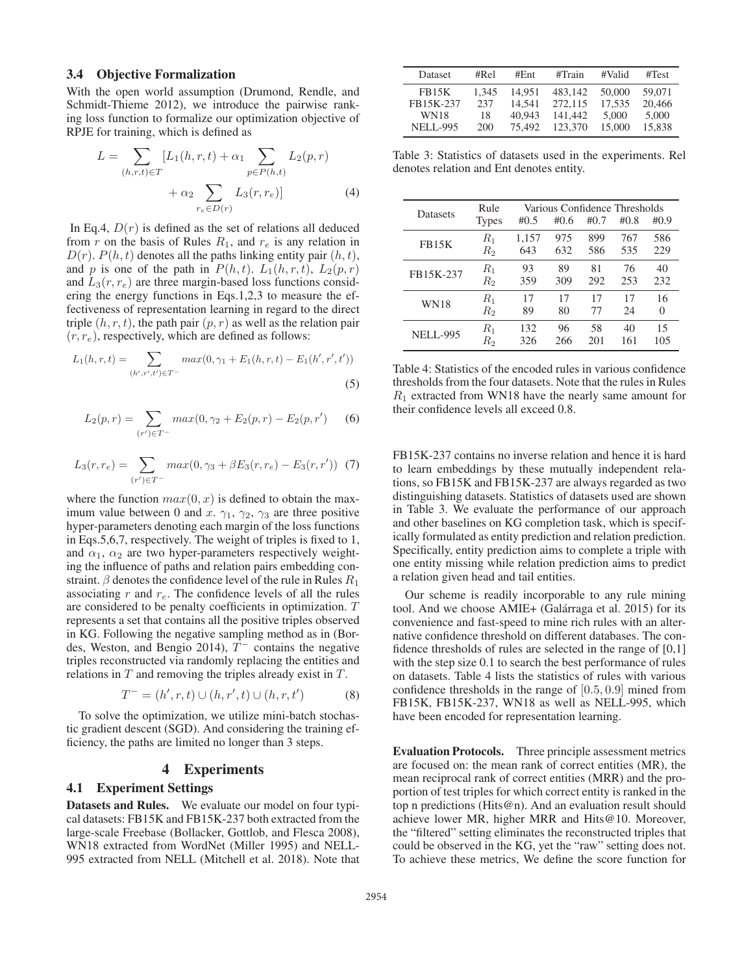### 3.4 Objective Formalization

With the open world assumption (Drumond, Rendle, and Schmidt-Thieme 2012), we introduce the pairwise ranking loss function to formalize our optimization objective of RPJE for training, which is defined as

$$
L = \sum_{(h,r,t)\in T} [L_1(h,r,t) + \alpha_1 \sum_{p \in P(h,t)} L_2(p,r) + \alpha_2 \sum_{r_e \in D(r)} L_3(r,r_e)] \tag{4}
$$

In Eq.4,  $D(r)$  is defined as the set of relations all deduced from r on the basis of Rules  $R_1$ , and  $r_e$  is any relation in  $D(r)$ .  $P(h, t)$  denotes all the paths linking entity pair  $(h, t)$ , and p is one of the path in  $P(h, t)$ .  $L_1(h, r, t)$ ,  $L_2(p, r)$ and  $L_3(r, r_e)$  are three margin-based loss functions considering the energy functions in Eqs.1,2,3 to measure the effectiveness of representation learning in regard to the direct triple  $(h, r, t)$ , the path pair  $(p, r)$  as well as the relation pair  $(r, r_e)$ , respectively, which are defined as follows:

$$
L_1(h,r,t) = \sum_{(h',r',t') \in T^-} max(0, \gamma_1 + E_1(h,r,t) - E_1(h',r',t'))
$$
\n(5)

$$
L_2(p,r) = \sum_{(r') \in T^-} max(0, \gamma_2 + E_2(p,r) - E_2(p,r')) \tag{6}
$$

$$
L_3(r, r_e) = \sum_{(r') \in T^-} max(0, \gamma_3 + \beta E_3(r, r_e) - E_3(r, r')) \tag{7}
$$

where the function  $max(0, x)$  is defined to obtain the maximum value between 0 and x.  $\gamma_1$ ,  $\gamma_2$ ,  $\gamma_3$  are three positive hyper-parameters denoting each margin of the loss functions in Eqs.5,6,7, respectively. The weight of triples is fixed to 1, and  $\alpha_1$ ,  $\alpha_2$  are two hyper-parameters respectively weighting the influence of paths and relation pairs embedding constraint.  $\beta$  denotes the confidence level of the rule in Rules  $R_1$ associating  $r$  and  $r_e$ . The confidence levels of all the rules are considered to be penalty coefficients in optimization. T represents a set that contains all the positive triples observed in KG. Following the negative sampling method as in (Bordes, Weston, and Bengio 2014),  $T^-$  contains the negative triples reconstructed via randomly replacing the entities and relations in  $T$  and removing the triples already exist in  $T$ .

$$
T^{-} = (h', r, t) \cup (h, r', t) \cup (h, r, t') \tag{8}
$$

To solve the optimization, we utilize mini-batch stochastic gradient descent (SGD). And considering the training efficiency, the paths are limited no longer than 3 steps.

### 4 Experiments

# 4.1 Experiment Settings

Datasets and Rules. We evaluate our model on four typical datasets: FB15K and FB15K-237 both extracted from the large-scale Freebase (Bollacker, Gottlob, and Flesca 2008), WN18 extracted from WordNet (Miller 1995) and NELL-995 extracted from NELL (Mitchell et al. 2018). Note that

| <b>Dataset</b>     | #Rel  | # $Ent$ | #Train  | #Valid | #Test  |
|--------------------|-------|---------|---------|--------|--------|
| FB <sub>15</sub> K | 1.345 | 14.951  | 483.142 | 50,000 | 59,071 |
| FB15K-237          | 237   | 14.541  | 272.115 | 17.535 | 20,466 |
| <b>WN18</b>        | 18    | 40.943  | 141.442 | 5,000  | 5,000  |
| <b>NELL-995</b>    | 200   | 75.492  | 123,370 | 15,000 | 15.838 |

Table 3: Statistics of datasets used in the experiments. Rel denotes relation and Ent denotes entity.

| <b>Datasets</b> | Rule<br><b>Types</b> | #0.5  | Various Confidence Thresholds<br>#0.6 | #0.7 | #0.8 | #0.9     |
|-----------------|----------------------|-------|---------------------------------------|------|------|----------|
| <b>FB15K</b>    | $R_{1}$              | 1,157 | 975                                   | 899  | 767  | 586      |
|                 | $R_{2}$              | 643   | 632                                   | 586  | 535  | 229      |
| FB15K-237       | $R_1$                | 93    | 89                                    | 81   | 76   | 40       |
|                 | $R_{2}$              | 359   | 309                                   | 292  | 253  | 232      |
| <b>WN18</b>     | $R_{1}$              | 17    | 17                                    | 17   | 17   | 16       |
|                 | $R_2$                | 89    | 80                                    | 77   | 24   | $\theta$ |
| <b>NELL-995</b> | $R_1$                | 132   | 96                                    | 58   | 40   | 15       |
|                 | Rэ                   | 326   | 266                                   | 201  | 161  | 105      |

Table 4: Statistics of the encoded rules in various confidence thresholds from the four datasets. Note that the rules in Rules  $R_1$  extracted from WN18 have the nearly same amount for their confidence levels all exceed 0.8.

FB15K-237 contains no inverse relation and hence it is hard to learn embeddings by these mutually independent relations, so FB15K and FB15K-237 are always regarded as two distinguishing datasets. Statistics of datasets used are shown in Table 3. We evaluate the performance of our approach and other baselines on KG completion task, which is specifically formulated as entity prediction and relation prediction. Specifically, entity prediction aims to complete a triple with one entity missing while relation prediction aims to predict a relation given head and tail entities.

Our scheme is readily incorporable to any rule mining tool. And we choose AMIE+ (Galárraga et al. 2015) for its convenience and fast-speed to mine rich rules with an alternative confidence threshold on different databases. The confidence thresholds of rules are selected in the range of [0,1] with the step size 0.1 to search the best performance of rules on datasets. Table 4 lists the statistics of rules with various confidence thresholds in the range of [0.5, 0.9] mined from FB15K, FB15K-237, WN18 as well as NELL-995, which have been encoded for representation learning.

Evaluation Protocols. Three principle assessment metrics are focused on: the mean rank of correct entities (MR), the mean reciprocal rank of correct entities (MRR) and the proportion of test triples for which correct entity is ranked in the top n predictions (Hits@n). And an evaluation result should achieve lower MR, higher MRR and Hits@10. Moreover, the "filtered" setting eliminates the reconstructed triples that could be observed in the KG, yet the "raw" setting does not. To achieve these metrics, We define the score function for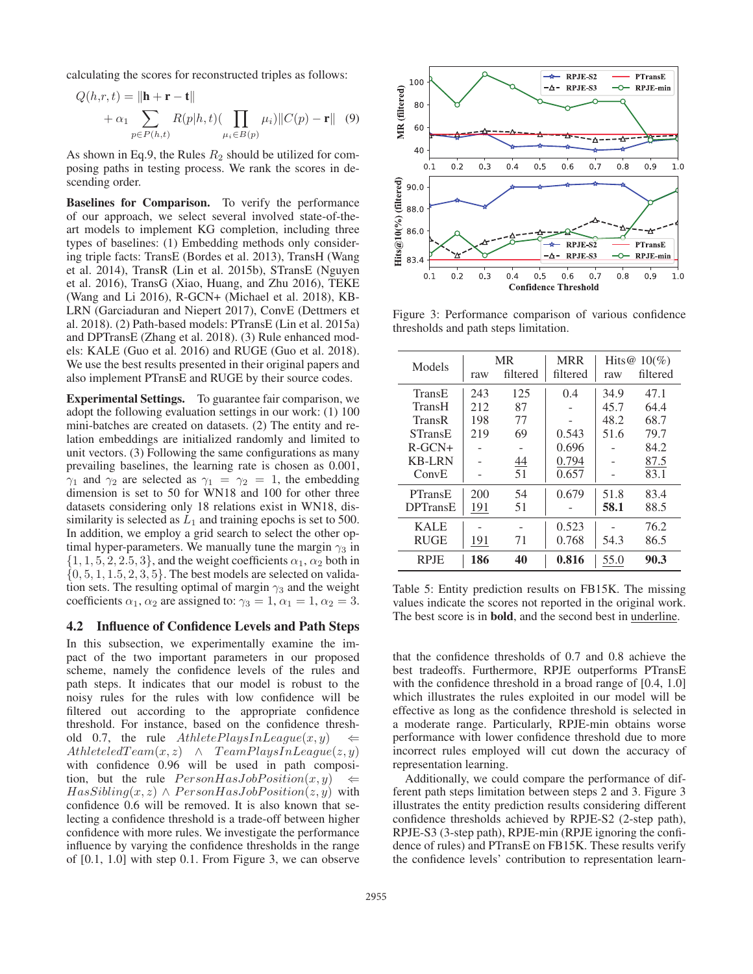calculating the scores for reconstructed triples as follows:

$$
Q(h,r,t) = \|\mathbf{h} + \mathbf{r} - \mathbf{t}\|
$$
  
+  $\alpha_1 \sum_{p \in P(h,t)} R(p|h,t) (\prod_{\mu_i \in B(p)} \mu_i) \|C(p) - \mathbf{r}\|$  (9)

As shown in Eq.9, the Rules  $R_2$  should be utilized for composing paths in testing process. We rank the scores in descending order.

Baselines for Comparison. To verify the performance of our approach, we select several involved state-of-theart models to implement KG completion, including three types of baselines: (1) Embedding methods only considering triple facts: TransE (Bordes et al. 2013), TransH (Wang et al. 2014), TransR (Lin et al. 2015b), STransE (Nguyen et al. 2016), TransG (Xiao, Huang, and Zhu 2016), TEKE (Wang and Li 2016), R-GCN+ (Michael et al. 2018), KB-LRN (Garciaduran and Niepert 2017), ConvE (Dettmers et al. 2018). (2) Path-based models: PTransE (Lin et al. 2015a) and DPTransE (Zhang et al. 2018). (3) Rule enhanced models: KALE (Guo et al. 2016) and RUGE (Guo et al. 2018). We use the best results presented in their original papers and also implement PTransE and RUGE by their source codes.

Experimental Settings. To guarantee fair comparison, we adopt the following evaluation settings in our work: (1) 100 mini-batches are created on datasets. (2) The entity and relation embeddings are initialized randomly and limited to unit vectors. (3) Following the same configurations as many prevailing baselines, the learning rate is chosen as 0.001,  $\gamma_1$  and  $\gamma_2$  are selected as  $\gamma_1 = \gamma_2 = 1$ , the embedding dimension is set to 50 for WN18 and 100 for other three datasets considering only 18 relations exist in WN18, dissimilarity is selected as  $L_1$  and training epochs is set to 500. In addition, we employ a grid search to select the other optimal hyper-parameters. We manually tune the margin  $\gamma_3$  in  $\{1, 1, 5, 2, 2.5, 3\}$ , and the weight coefficients  $\alpha_1, \alpha_2$  both in  $\{0, 5, 1, 1.5, 2, 3, 5\}$ . The best models are selected on validation sets. The resulting optimal of margin  $\gamma_3$  and the weight coefficients  $\alpha_1, \alpha_2$  are assigned to:  $\gamma_3 = 1, \alpha_1 = 1, \alpha_2 = 3$ .

#### 4.2 Influence of Confidence Levels and Path Steps

In this subsection, we experimentally examine the impact of the two important parameters in our proposed scheme, namely the confidence levels of the rules and path steps. It indicates that our model is robust to the noisy rules for the rules with low confidence will be filtered out according to the appropriate confidence threshold. For instance, based on the confidence threshold 0.7, the rule  $AthletePlayIn League(x, y)$ AthleteledTeam $(x, z) \land$  TeamPlaysInLeague $(z, y)$ with confidence 0.96 will be used in path composition, but the rule  $PersonHasJobPosition(x, y)$  $HasSibling(x, z) \wedge PersonHasJobPosition(z, y)$  with confidence 0.6 will be removed. It is also known that selecting a confidence threshold is a trade-off between higher confidence with more rules. We investigate the performance influence by varying the confidence thresholds in the range of [0.1, 1.0] with step 0.1. From Figure 3, we can observe



Figure 3: Performance comparison of various confidence thresholds and path steps limitation.

| Models          |     | <b>MR</b> | <b>MRR</b> |      | Hits@ $10\%$ |
|-----------------|-----|-----------|------------|------|--------------|
|                 | raw | filtered  | filtered   | raw  | filtered     |
| TransE          | 243 | 125       | 0.4        | 34.9 | 47.1         |
| TransH          | 212 | 87        |            | 45.7 | 64.4         |
| TransR          | 198 | 77        |            | 48.2 | 68.7         |
| STransE         | 219 | 69        | 0.543      | 51.6 | 79.7         |
| $R$ -GCN+       |     |           | 0.696      |      | 84.2         |
| <b>KB-LRN</b>   |     | <u>44</u> | 0.794      |      | 87.5         |
| ConvE           |     | 51        | 0.657      |      | 83.1         |
| PTransE         | 200 | 54        | 0.679      | 51.8 | 83.4         |
| <b>DPTransE</b> | 191 | 51        |            | 58.1 | 88.5         |
| <b>KALE</b>     |     |           | 0.523      |      | 76.2         |
| <b>RUGE</b>     | 191 | 71        | 0.768      | 54.3 | 86.5         |
| <b>RPJE</b>     | 186 | 40        | 0.816      | 55.0 | 90.3         |

Table 5: Entity prediction results on FB15K. The missing values indicate the scores not reported in the original work. The best score is in bold, and the second best in underline.

that the confidence thresholds of 0.7 and 0.8 achieve the best tradeoffs. Furthermore, RPJE outperforms PTransE with the confidence threshold in a broad range of  $[0.4, 1.0]$ which illustrates the rules exploited in our model will be effective as long as the confidence threshold is selected in a moderate range. Particularly, RPJE-min obtains worse performance with lower confidence threshold due to more incorrect rules employed will cut down the accuracy of representation learning.

Additionally, we could compare the performance of different path steps limitation between steps 2 and 3. Figure 3 illustrates the entity prediction results considering different confidence thresholds achieved by RPJE-S2 (2-step path), RPJE-S3 (3-step path), RPJE-min (RPJE ignoring the confidence of rules) and PTransE on FB15K. These results verify the confidence levels' contribution to representation learn-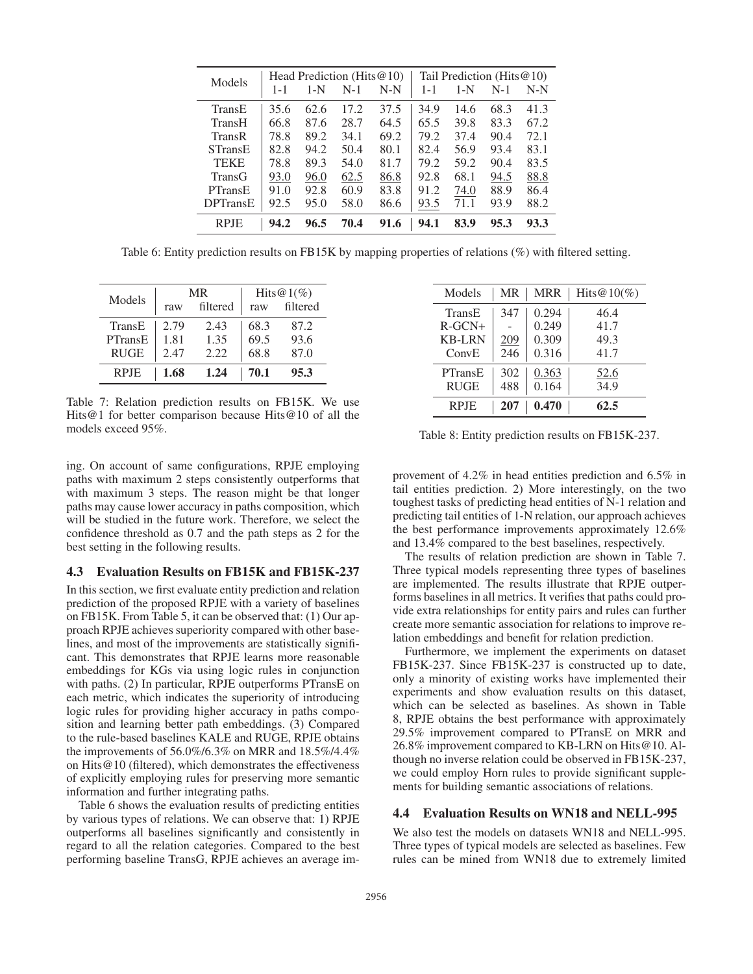|                 |         | Head Prediction (Hits $@10$ ) |       |       |         | Tail Prediction (Hits $@10$ ) |       |       |  |
|-----------------|---------|-------------------------------|-------|-------|---------|-------------------------------|-------|-------|--|
| Models          | $1 - 1$ | $1-N$                         | $N-1$ | $N-N$ | $1 - 1$ | $1-N$                         | $N-1$ | $N-N$ |  |
| TransE          | 35.6    | 62.6                          | 17.2  | 37.5  | 34.9    | 14.6                          | 68.3  | 41.3  |  |
| TransH          | 66.8    | 87.6                          | 28.7  | 64.5  | 65.5    | 39.8                          | 83.3  | 67.2  |  |
| <b>TransR</b>   | 78.8    | 89.2                          | 34.1  | 69.2  | 79.2    | 37.4                          | 90.4  | 72.1  |  |
| <b>STransE</b>  | 82.8    | 94.2                          | 50.4  | 80.1  | 82.4    | 56.9                          | 93.4  | 83.1  |  |
| <b>TEKE</b>     | 78.8    | 89.3                          | 54.0  | 81.7  | 79.2    | 59.2                          | 90.4  | 83.5  |  |
| <b>TransG</b>   | 93.0    | 96.0                          | 62.5  | 86.8  | 92.8    | 68.1                          | 94.5  | 88.8  |  |
| <b>PTransE</b>  | 91.0    | 92.8                          | 60.9  | 83.8  | 91.2    | 74.0                          | 88.9  | 86.4  |  |
| <b>DPTransE</b> | 92.5    | 95.0                          | 58.0  | 86.6  | 93.5    | 71.1                          | 93.9  | 88.2  |  |
| <b>RPIE</b>     | 94.2    | 96.5                          | 70.4  | 91.6  | 94.1    | 83.9                          | 95.3  | 93.3  |  |

Table 6: Entity prediction results on FB15K by mapping properties of relations (%) with filtered setting.

| Models      |      | MR       | Hits@1(%) |          |  |
|-------------|------|----------|-----------|----------|--|
|             | raw  | filtered | raw       | filtered |  |
| TransE      | 2.79 | 2.43     | 68.3      | 87.2     |  |
| PTransE     | 1.81 | 1.35     | 69.5      | 93.6     |  |
| <b>RUGE</b> | 2.47 | 2.22     | 68.8      | 87.0     |  |
| <b>RPJE</b> | 1.68 | 1.24     | 70.1      | 95.3     |  |

Table 7: Relation prediction results on FB15K. We use Hits@1 for better comparison because Hits@10 of all the models exceed 95%.

ing. On account of same configurations, RPJE employing paths with maximum 2 steps consistently outperforms that with maximum 3 steps. The reason might be that longer paths may cause lower accuracy in paths composition, which will be studied in the future work. Therefore, we select the confidence threshold as 0.7 and the path steps as 2 for the best setting in the following results.

### 4.3 Evaluation Results on FB15K and FB15K-237

In this section, we first evaluate entity prediction and relation prediction of the proposed RPJE with a variety of baselines on FB15K. From Table 5, it can be observed that: (1) Our approach RPJE achieves superiority compared with other baselines, and most of the improvements are statistically significant. This demonstrates that RPJE learns more reasonable embeddings for KGs via using logic rules in conjunction with paths. (2) In particular, RPJE outperforms PTransE on each metric, which indicates the superiority of introducing logic rules for providing higher accuracy in paths composition and learning better path embeddings. (3) Compared to the rule-based baselines KALE and RUGE, RPJE obtains the improvements of 56.0%/6.3% on MRR and 18.5%/4.4% on Hits@10 (filtered), which demonstrates the effectiveness of explicitly employing rules for preserving more semantic information and further integrating paths.

Table 6 shows the evaluation results of predicting entities by various types of relations. We can observe that: 1) RPJE outperforms all baselines significantly and consistently in regard to all the relation categories. Compared to the best performing baseline TransG, RPJE achieves an average im-

| Models        | MR  | <b>MRR</b> | Hits $@10(\%)$ |
|---------------|-----|------------|----------------|
| TransE        | 347 | 0.294      | 46.4           |
| $R-GCN+$      |     | 0.249      | 41.7           |
| <b>KB-LRN</b> | 209 | 0.309      | 49.3           |
| ConvE         | 246 | 0.316      | 41.7           |
| PTransE       | 302 | 0.363      | 52.6           |
| <b>RUGE</b>   | 488 | 0.164      | 34.9           |
| <b>RPJE</b>   | 207 | 0.470      | 62.5           |

Table 8: Entity prediction results on FB15K-237.

provement of 4.2% in head entities prediction and 6.5% in tail entities prediction. 2) More interestingly, on the two toughest tasks of predicting head entities of N-1 relation and predicting tail entities of 1-N relation, our approach achieves the best performance improvements approximately 12.6% and 13.4% compared to the best baselines, respectively.

The results of relation prediction are shown in Table 7. Three typical models representing three types of baselines are implemented. The results illustrate that RPJE outperforms baselines in all metrics. It verifies that paths could provide extra relationships for entity pairs and rules can further create more semantic association for relations to improve relation embeddings and benefit for relation prediction.

Furthermore, we implement the experiments on dataset FB15K-237. Since FB15K-237 is constructed up to date, only a minority of existing works have implemented their experiments and show evaluation results on this dataset, which can be selected as baselines. As shown in Table 8, RPJE obtains the best performance with approximately 29.5% improvement compared to PTransE on MRR and 26.8% improvement compared to KB-LRN on Hits@10. Although no inverse relation could be observed in FB15K-237, we could employ Horn rules to provide significant supplements for building semantic associations of relations.

### 4.4 Evaluation Results on WN18 and NELL-995

We also test the models on datasets WN18 and NELL-995. Three types of typical models are selected as baselines. Few rules can be mined from WN18 due to extremely limited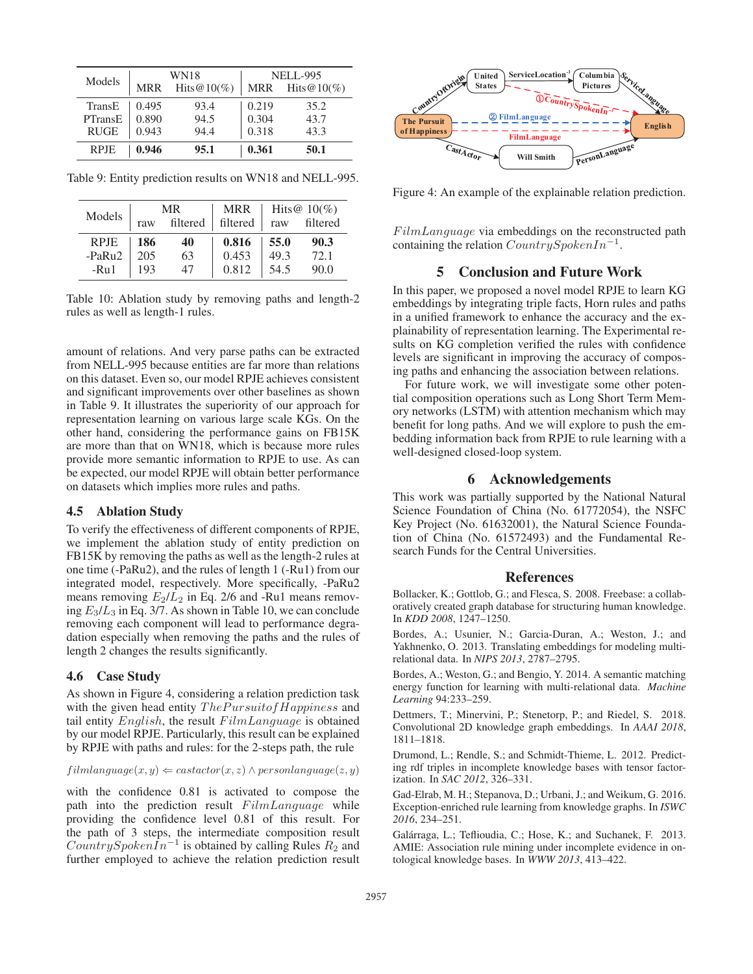|             |            | WN18           | <b>NELL-995</b> |                |  |
|-------------|------------|----------------|-----------------|----------------|--|
| Models      | <b>MRR</b> | Hits $@10(\%)$ | MRR             | Hits $@10(\%)$ |  |
| TransE      | 0.495      | 93.4           | 0.219           | 35.2           |  |
| PTransE     | 0.890      | 94.5           | 0.304           | 43.7           |  |
| <b>RUGE</b> | 0.943      | 94.4           | 0.318           | 43.3           |  |
| <b>RPJE</b> | 0.946      | 95.1           | 0.361           | 50.1           |  |

Table 9: Entity prediction results on WN18 and NELL-995.

| Models      | MR. |          | <b>MRR</b> |      | Hits@ $10\%$ |
|-------------|-----|----------|------------|------|--------------|
|             | raw | filtered | filtered   | raw  | filtered     |
| <b>RPJE</b> | 186 | 40       | 0.816      | 55.0 | 90.3         |
| -PaRu2      | 205 | 63       | 0.453      | 49.3 | 72.1         |
| $-Ru1$      | 193 | 47       | 0.812      | 54.5 | 90.0         |

Table 10: Ablation study by removing paths and length-2 rules as well as length-1 rules.

amount of relations. And very parse paths can be extracted from NELL-995 because entities are far more than relations on this dataset. Even so, our model RPJE achieves consistent and significant improvements over other baselines as shown in Table 9. It illustrates the superiority of our approach for representation learning on various large scale KGs. On the other hand, considering the performance gains on FB15K are more than that on WN18, which is because more rules provide more semantic information to RPJE to use. As can be expected, our model RPJE will obtain better performance on datasets which implies more rules and paths.

### 4.5 Ablation Study

To verify the effectiveness of different components of RPJE, we implement the ablation study of entity prediction on FB15K by removing the paths as well as the length-2 rules at one time (-PaRu2), and the rules of length 1 (-Ru1) from our integrated model, respectively. More specifically, -PaRu2 means removing  $E_2/\tilde{L}_2$  in Eq. 2/6 and -Ru1 means removing  $E_3/L_3$  in Eq. 3/7. As shown in Table 10, we can conclude removing each component will lead to performance degradation especially when removing the paths and the rules of length 2 changes the results significantly.

### 4.6 Case Study

As shown in Figure 4, considering a relation prediction task with the given head entity  $The Pursuit of Happings$  and tail entity  $English$ , the result  $FilmLanguage$  is obtained by our model RPJE. Particularly, this result can be explained by RPJE with paths and rules: for the 2-steps path, the rule

```
film language(x, y) \leftarrow \text{castactor}(x, z) \land \text{personlanguage}(z, y)
```
with the confidence 0.81 is activated to compose the path into the prediction result  $FilmLanguage$  while providing the confidence level 0.81 of this result. For the path of 3 steps, the intermediate composition result  $CountrySpokenIn^{-1}$  is obtained by calling Rules  $R_2$  and further employed to achieve the relation prediction result



Figure 4: An example of the explainable relation prediction.

 $FilmLanguage$  via embeddings on the reconstructed path containing the relation  $CountrySpokenIn^{-1}$ .

# 5 Conclusion and Future Work

In this paper, we proposed a novel model RPJE to learn KG embeddings by integrating triple facts, Horn rules and paths in a unified framework to enhance the accuracy and the explainability of representation learning. The Experimental results on KG completion verified the rules with confidence levels are significant in improving the accuracy of composing paths and enhancing the association between relations.

For future work, we will investigate some other potential composition operations such as Long Short Term Memory networks (LSTM) with attention mechanism which may benefit for long paths. And we will explore to push the embedding information back from RPJE to rule learning with a well-designed closed-loop system.

# 6 Acknowledgements

This work was partially supported by the National Natural Science Foundation of China (No. 61772054), the NSFC Key Project (No. 61632001), the Natural Science Foundation of China (No. 61572493) and the Fundamental Research Funds for the Central Universities.

#### References

Bollacker, K.; Gottlob, G.; and Flesca, S. 2008. Freebase: a collaboratively created graph database for structuring human knowledge. In *KDD 2008*, 1247–1250.

Bordes, A.; Usunier, N.; Garcia-Duran, A.; Weston, J.; and Yakhnenko, O. 2013. Translating embeddings for modeling multirelational data. In *NIPS 2013*, 2787–2795.

Bordes, A.; Weston, G.; and Bengio, Y. 2014. A semantic matching energy function for learning with multi-relational data. *Machine Learning* 94:233–259.

Dettmers, T.; Minervini, P.; Stenetorp, P.; and Riedel, S. 2018. Convolutional 2D knowledge graph embeddings. In *AAAI 2018*, 1811–1818.

Drumond, L.; Rendle, S.; and Schmidt-Thieme, L. 2012. Predicting rdf triples in incomplete knowledge bases with tensor factorization. In *SAC 2012*, 326–331.

Gad-Elrab, M. H.; Stepanova, D.; Urbani, J.; and Weikum, G. 2016. Exception-enriched rule learning from knowledge graphs. In *ISWC 2016*, 234–251.

Galárraga, L.; Teflioudia, C.; Hose, K.; and Suchanek, F. 2013. AMIE: Association rule mining under incomplete evidence in ontological knowledge bases. In *WWW 2013*, 413–422.